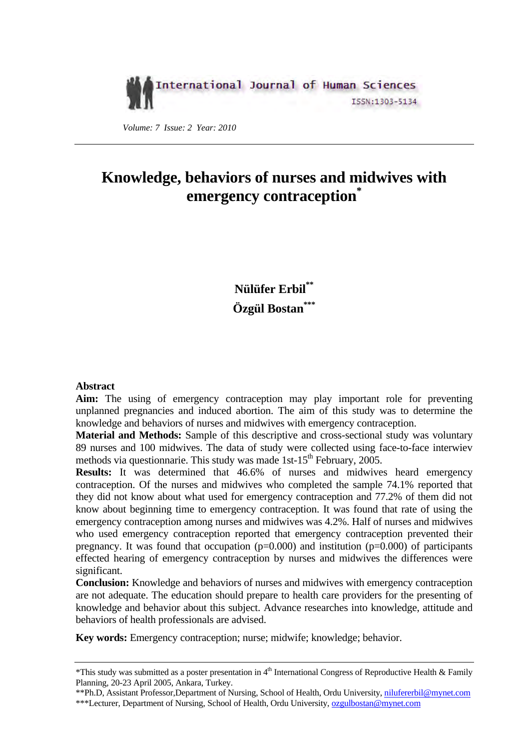## International Journal of Human Sciences ISSN:1303-5134

 *Volume: 7 Issue: 2 Year: 2010* 

# **Knowledge, behaviors of nurses and midwives with emergency contraception\***

**Nülüfer Erbil\*\* Özgül Bostan\*\*\***

## **Abstract**

**Aim:** The using of emergency contraception may play important role for preventing unplanned pregnancies and induced abortion. The aim of this study was to determine the knowledge and behaviors of nurses and midwives with emergency contraception.

**Material and Methods:** Sample of this descriptive and cross-sectional study was voluntary 89 nurses and 100 midwives. The data of study were collected using face-to-face interwiev methods via questionnarie. This study was made 1st-15<sup>th</sup> February, 2005.

**Results:** It was determined that 46.6% of nurses and midwives heard emergency contraception. Of the nurses and midwives who completed the sample 74.1% reported that they did not know about what used for emergency contraception and 77.2% of them did not know about beginning time to emergency contraception. It was found that rate of using the emergency contraception among nurses and midwives was 4.2%. Half of nurses and midwives who used emergency contraception reported that emergency contraception prevented their pregnancy. It was found that occupation  $(p=0.000)$  and institution  $(p=0.000)$  of participants effected hearing of emergency contraception by nurses and midwives the differences were significant.

**Conclusion:** Knowledge and behaviors of nurses and midwives with emergency contraception are not adequate. The education should prepare to health care providers for the presenting of knowledge and behavior about this subject. Advance researches into knowledge, attitude and behaviors of health professionals are advised.

**Key words:** Emergency contraception; nurse; midwife; knowledge; behavior.

\*\*Ph.D, Assistant Professor,Department of Nursing, School of Health, Ordu University, nilufererbil@mynet.com \*\*\*Lecturer, Department of Nursing, School of Health, Ordu University, ozgulbostan@mynet.com

<sup>\*</sup>This study was submitted as a poster presentation in  $4<sup>th</sup>$  International Congress of Reproductive Health & Family Planning, 20-23 April 2005, Ankara, Turkey.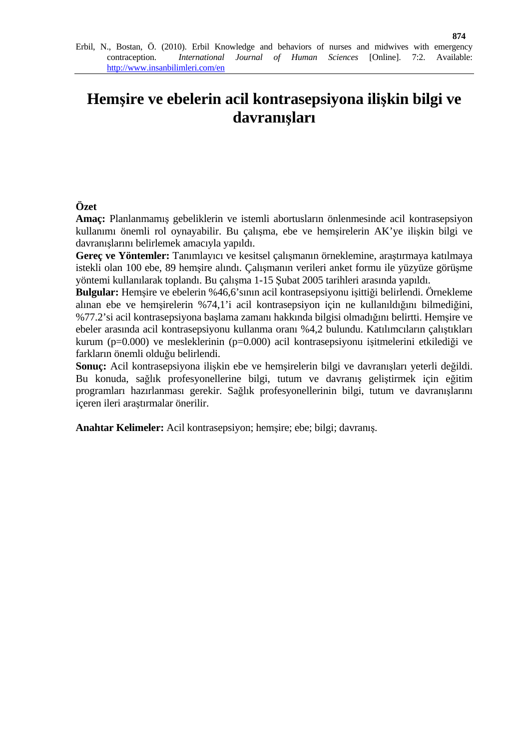# **Hemşire ve ebelerin acil kontrasepsiyona ilişkin bilgi ve davranışları**

## **Özet**

**Amaç:** Planlanmamış gebeliklerin ve istemli abortusların önlenmesinde acil kontrasepsiyon kullanımı önemli rol oynayabilir. Bu çalışma, ebe ve hemşirelerin AK'ye ilişkin bilgi ve davranışlarını belirlemek amacıyla yapıldı.

**Gereç ve Yöntemler:** Tanımlayıcı ve kesitsel çalışmanın örneklemine, araştırmaya katılmaya istekli olan 100 ebe, 89 hemşire alındı. Çalışmanın verileri anket formu ile yüzyüze görüşme yöntemi kullanılarak toplandı. Bu çalışma 1-15 Şubat 2005 tarihleri arasında yapıldı.

**Bulgular:** Hemşire ve ebelerin %46,6'sının acil kontrasepsiyonu işittiği belirlendi. Örnekleme alınan ebe ve hemşirelerin %74,1'i acil kontrasepsiyon için ne kullanıldığını bilmediğini, %77.2'si acil kontrasepsiyona başlama zamanı hakkında bilgisi olmadığını belirtti. Hemşire ve ebeler arasında acil kontrasepsiyonu kullanma oranı %4,2 bulundu. Katılımcıların çalıştıkları kurum (p=0.000) ve mesleklerinin (p=0.000) acil kontrasepsiyonu işitmelerini etkilediği ve farkların önemli olduğu belirlendi.

**Sonuç:** Acil kontrasepsiyona ilişkin ebe ve hemşirelerin bilgi ve davranışları yeterli değildi. Bu konuda, sağlık profesyonellerine bilgi, tutum ve davranış geliştirmek için eğitim programları hazırlanması gerekir. Sağlık profesyonellerinin bilgi, tutum ve davranışlarını içeren ileri araştırmalar önerilir.

**Anahtar Kelimeler:** Acil kontrasepsiyon; hemşire; ebe; bilgi; davranış.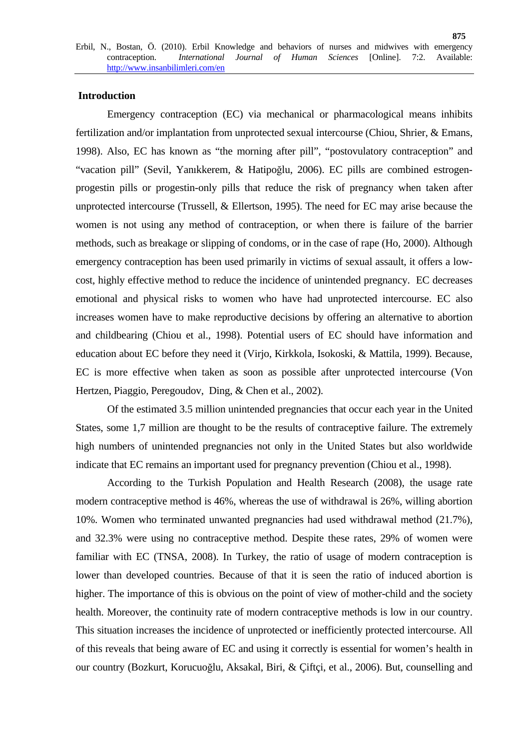## **Introduction**

Emergency contraception (EC) via mechanical or pharmacological means inhibits fertilization and/or implantation from unprotected sexual intercourse (Chiou, Shrier, & Emans, 1998). Also, EC has known as "the morning after pill", "postovulatory contraception" and "vacation pill" (Sevil, Yanıkkerem, & Hatipoğlu, 2006). EC pills are combined estrogenprogestin pills or progestin-only pills that reduce the risk of pregnancy when taken after unprotected intercourse (Trussell, & Ellertson, 1995). The need for EC may arise because the women is not using any method of contraception, or when there is failure of the barrier methods, such as breakage or slipping of condoms, or in the case of rape (Ho, 2000). Although emergency contraception has been used primarily in victims of sexual assault, it offers a lowcost, highly effective method to reduce the incidence of unintended pregnancy. EC decreases emotional and physical risks to women who have had unprotected intercourse. EC also increases women have to make reproductive decisions by offering an alternative to abortion and childbearing (Chiou et al., 1998). Potential users of EC should have information and education about EC before they need it (Virjo, Kirkkola, Isokoski, & Mattila, 1999). Because, EC is more effective when taken as soon as possible after unprotected intercourse (Von Hertzen, Piaggio, Peregoudov, Ding, & Chen et al., 2002).

Of the estimated 3.5 million unintended pregnancies that occur each year in the United States, some 1,7 million are thought to be the results of contraceptive failure. The extremely high numbers of unintended pregnancies not only in the United States but also worldwide indicate that EC remains an important used for pregnancy prevention (Chiou et al., 1998).

According to the Turkish Population and Health Research (2008), the usage rate modern contraceptive method is 46%, whereas the use of withdrawal is 26%, willing abortion 10%. Women who terminated unwanted pregnancies had used withdrawal method (21.7%), and 32.3% were using no contraceptive method. Despite these rates, 29% of women were familiar with EC (TNSA, 2008). In Turkey, the ratio of usage of modern contraception is lower than developed countries. Because of that it is seen the ratio of induced abortion is higher. The importance of this is obvious on the point of view of mother-child and the society health. Moreover, the continuity rate of modern contraceptive methods is low in our country. This situation increases the incidence of unprotected or inefficiently protected intercourse. All of this reveals that being aware of EC and using it correctly is essential for women's health in our country (Bozkurt, Korucuoğlu, Aksakal, Biri, & Çiftçi, et al., 2006). But, counselling and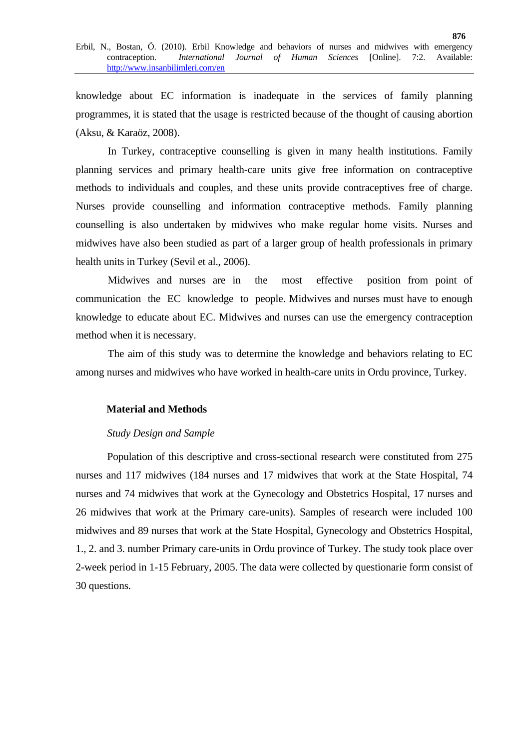knowledge about EC information is inadequate in the services of family planning programmes, it is stated that the usage is restricted because of the thought of causing abortion (Aksu, & Karaöz, 2008).

In Turkey, contraceptive counselling is given in many health institutions. Family planning services and primary health-care units give free information on contraceptive methods to individuals and couples, and these units provide contraceptives free of charge. Nurses provide counselling and information contraceptive methods. Family planning counselling is also undertaken by midwives who make regular home visits. Nurses and midwives have also been studied as part of a larger group of health professionals in primary health units in Turkey (Sevil et al., 2006).

Midwives and nurses are in the most effective position from point of communication the EC knowledge to people. Midwives and nurses must have to enough knowledge to educate about EC. Midwives and nurses can use the emergency contraception method when it is necessary.

The aim of this study was to determine the knowledge and behaviors relating to EC among nurses and midwives who have worked in health-care units in Ordu province, Turkey.

## **Material and Methods**

## *Study Design and Sample*

Population of this descriptive and cross-sectional research were constituted from 275 nurses and 117 midwives (184 nurses and 17 midwives that work at the State Hospital, 74 nurses and 74 midwives that work at the Gynecology and Obstetrics Hospital, 17 nurses and 26 midwives that work at the Primary care-units). Samples of research were included 100 midwives and 89 nurses that work at the State Hospital, Gynecology and Obstetrics Hospital, 1., 2. and 3. number Primary care-units in Ordu province of Turkey. The study took place over 2-week period in 1-15 February, 2005. The data were collected by questionarie form consist of 30 questions.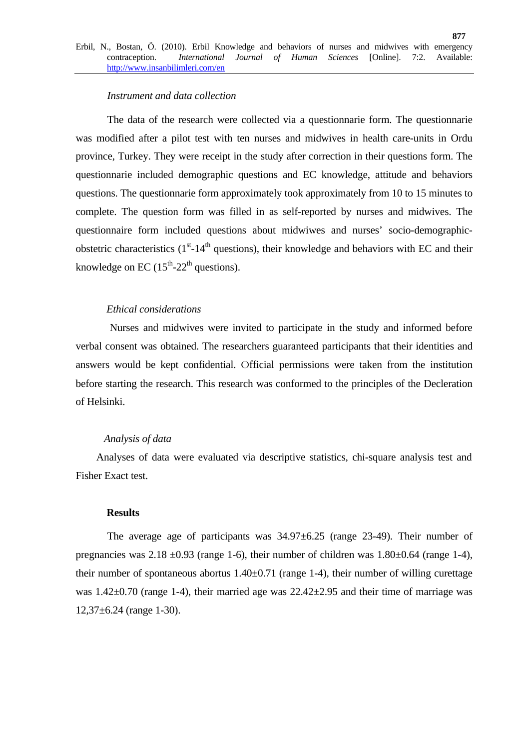## *Instrument and data collection*

The data of the research were collected via a questionnarie form. The questionnarie was modified after a pilot test with ten nurses and midwives in health care-units in Ordu province, Turkey. They were receipt in the study after correction in their questions form. The questionnarie included demographic questions and EC knowledge, attitude and behaviors questions. The questionnarie form approximately took approximately from 10 to 15 minutes to complete. The question form was filled in as self-reported by nurses and midwives. The questionnaire form included questions about midwiwes and nurses' socio-demographicobstetric characteristics  $(1<sup>st</sup>-14<sup>th</sup>$  questions), their knowledge and behaviors with EC and their knowledge on EC  $(15<sup>th</sup>-22<sup>th</sup>$  questions).

## *Ethical considerations*

 Nurses and midwives were invited to participate in the study and informed before verbal consent was obtained. The researchers guaranteed participants that their identities and answers would be kept confidential. Official permissions were taken from the institution before starting the research. This research was conformed to the principles of the Decleration of Helsinki.

## *Analysis of data*

 Analyses of data were evaluated via descriptive statistics, chi-square analysis test and Fisher Exact test.

#### **Results**

The average age of participants was  $34.97\pm6.25$  (range 23-49). Their number of pregnancies was  $2.18 \pm 0.93$  (range 1-6), their number of children was  $1.80 \pm 0.64$  (range 1-4), their number of spontaneous abortus  $1.40\pm0.71$  (range 1-4), their number of willing curettage was 1.42 $\pm$ 0.70 (range 1-4), their married age was 22.42 $\pm$ 2.95 and their time of marriage was  $12,37\pm6.24$  (range 1-30).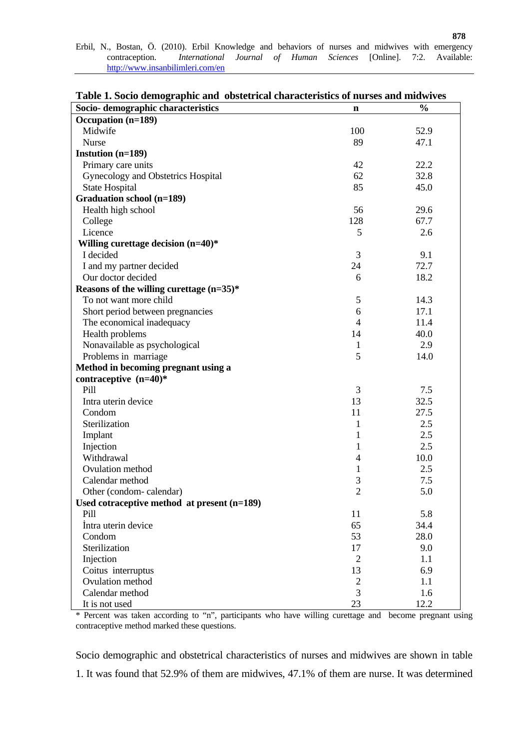|  |                                  |  |  |  |  |  |  | Erbil, N., Bostan, Ö. (2010). Erbil Knowledge and behaviors of nurses and midwives with emergency |
|--|----------------------------------|--|--|--|--|--|--|---------------------------------------------------------------------------------------------------|
|  |                                  |  |  |  |  |  |  | contraception. <i>International Journal of Human Sciences</i> [Online]. 7:2. Available:           |
|  | http://www.insanbilimleri.com/en |  |  |  |  |  |  |                                                                                                   |

| Socio-demographic characteristics             | n              | $\frac{0}{0}$ |
|-----------------------------------------------|----------------|---------------|
| Occupation (n=189)                            |                |               |
| Midwife                                       | 100            | 52.9          |
| Nurse                                         | 89             | 47.1          |
| Instution (n=189)                             |                |               |
| Primary care units                            | 42             | 22.2          |
| Gynecology and Obstetrics Hospital            | 62             | 32.8          |
| <b>State Hospital</b>                         | 85             | 45.0          |
| <b>Graduation school (n=189)</b>              |                |               |
| Health high school                            | 56             | 29.6          |
| College                                       | 128            | 67.7          |
| Licence                                       | 5              | 2.6           |
| Willing curettage decision $(n=40)$ *         |                |               |
| I decided                                     | 3              | 9.1           |
| I and my partner decided                      | 24             | 72.7          |
| Our doctor decided                            | 6              | 18.2          |
| Reasons of the willing curettage (n=35)*      |                |               |
| To not want more child                        | 5              | 14.3          |
| Short period between pregnancies              | 6              | 17.1          |
| The economical inadequacy                     | $\overline{4}$ | 11.4          |
| Health problems                               | 14             | 40.0          |
| Nonavailable as psychological                 | $\mathbf{1}$   | 2.9           |
| Problems in marriage                          | 5              | 14.0          |
| Method in becoming pregnant using a           |                |               |
| contraceptive $(n=40)$ *                      |                |               |
| Pill                                          | 3              | 7.5           |
| Intra uterin device                           | 13             | 32.5          |
| Condom                                        | 11             | 27.5          |
| Sterilization                                 | $\mathbf{1}$   | 2.5           |
| Implant                                       | $\mathbf{1}$   | 2.5           |
| Injection                                     | $\mathbf{1}$   | 2.5           |
| Withdrawal                                    | $\overline{4}$ | 10.0          |
| Ovulation method                              | $\mathbf{1}$   | 2.5           |
| Calendar method                               | $\mathfrak{Z}$ | 7.5           |
| Other (condom-calendar)                       | $\overline{2}$ | 5.0           |
| Used cotraceptive method at present $(n=189)$ |                |               |
| Pill                                          | 11             | 5.8           |
| Intra uterin device                           | 65             | 34.4          |
| Condom                                        | 53             | 28.0          |
| Sterilization                                 | 17             | 9.0           |
| Injection                                     | $\overline{2}$ | 1.1           |
| Coitus interruptus                            | 13             | 6.9           |
| Ovulation method                              | $\overline{2}$ | 1.1           |
| Calendar method                               | 3              | 1.6           |
| It is not used                                | 23             | 12.2          |

**Table 1. Socio demographic and obstetrical characteristics of nurses and midwives** 

\* Percent was taken according to "n", participants who have willing curettage and become pregnant using contraceptive method marked these questions.

Socio demographic and obstetrical characteristics of nurses and midwives are shown in table 1. It was found that 52.9% of them are midwives, 47.1% of them are nurse. It was determined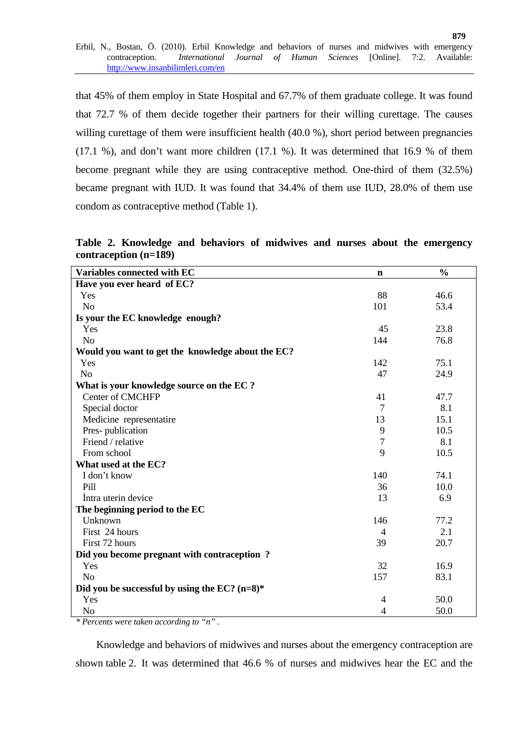that 45% of them employ in State Hospital and 67.7% of them graduate college. It was found that 72.7 % of them decide together their partners for their willing curettage. The causes willing curettage of them were insufficient health (40.0 %), short period between pregnancies (17.1 %), and don't want more children (17.1 %). It was determined that 16.9 % of them become pregnant while they are using contraceptive method. One-third of them (32.5%) became pregnant with IUD. It was found that 34.4% of them use IUD, 28.0% of them use condom as contraceptive method (Table 1).

**Table 2. Knowledge and behaviors of midwives and nurses about the emergency contraception (n=189)** 

| Variables connected with EC                       | n              | $\frac{0}{0}$ |
|---------------------------------------------------|----------------|---------------|
| Have you ever heard of EC?                        |                |               |
| Yes                                               | 88             | 46.6          |
| N <sub>o</sub>                                    | 101            | 53.4          |
| Is your the EC knowledge enough?                  |                |               |
| Yes                                               | 45             | 23.8          |
| N <sub>o</sub>                                    | 144            | 76.8          |
| Would you want to get the knowledge about the EC? |                |               |
| Yes                                               | 142            | 75.1          |
| N <sub>o</sub>                                    | 47             | 24.9          |
| What is your knowledge source on the EC ?         |                |               |
| <b>Center of CMCHFP</b>                           | 41             | 47.7          |
| Special doctor                                    | $\tau$         | 8.1           |
| Medicine representatire                           | 13             | 15.1          |
| Pres-publication                                  | 9              | 10.5          |
| Friend / relative                                 | $\overline{7}$ | 8.1           |
| From school                                       | 9              | 10.5          |
| What used at the EC?                              |                |               |
| I don't know                                      | 140            | 74.1          |
| Pill                                              | 36             | 10.0          |
| Intra uterin device                               | 13             | 6.9           |
| The beginning period to the EC                    |                |               |
| Unknown                                           | 146            | 77.2          |
| First 24 hours                                    | $\overline{4}$ | 2.1           |
| First 72 hours                                    | 39             | 20.7          |
| Did you become pregnant with contraception?       |                |               |
| Yes                                               | 32             | 16.9          |
| N <sub>o</sub>                                    | 157            | 83.1          |
| Did you be successful by using the EC? $(n=8)$ *  |                |               |
| Yes                                               | 4              | 50.0          |
| N <sub>o</sub>                                    | 4              | 50.0          |

*\* Percents were taken according to "n" .* 

 Knowledge and behaviors of midwives and nurses about the emergency contraception are shown table 2. It was determined that 46.6 % of nurses and midwives hear the EC and the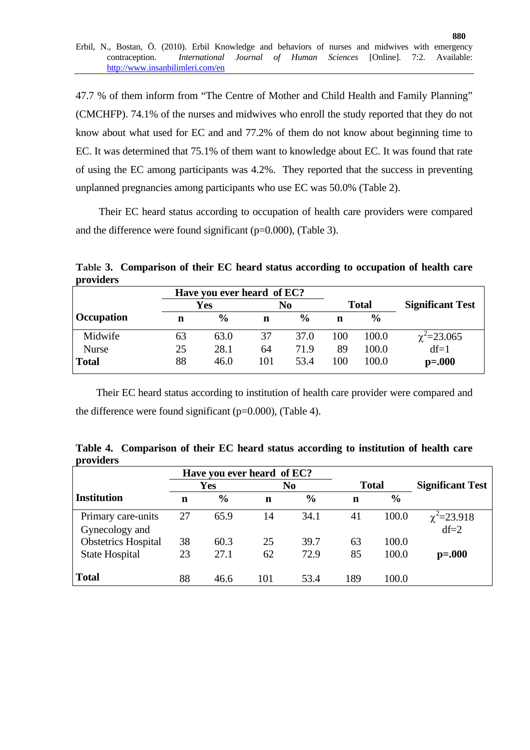47.7 % of them inform from "The Centre of Mother and Child Health and Family Planning" (CMCHFP). 74.1% of the nurses and midwives who enroll the study reported that they do not know about what used for EC and and 77.2% of them do not know about beginning time to EC. It was determined that 75.1% of them want to knowledge about EC. It was found that rate of using the EC among participants was 4.2%. They reported that the success in preventing unplanned pregnancies among participants who use EC was 50.0% (Table 2).

 Their EC heard status according to occupation of health care providers were compared and the difference were found significant  $(p=0.000)$ , (Table 3).

**Table 3. Comparison of their EC heard status according to occupation of health care providers** 

|              |    | Have you ever heard of EC? |     |               |     |               |                         |
|--------------|----|----------------------------|-----|---------------|-----|---------------|-------------------------|
|              |    | Yes                        |     | No            |     | <b>Total</b>  | <b>Significant Test</b> |
| Occupation   | n  | $\frac{0}{0}$              | n   | $\frac{0}{0}$ | n   | $\frac{0}{0}$ |                         |
| Midwife      | 63 | 63.0                       | 37  | 37.0          | 100 | 100.0         | $\chi^2$ = 23.065       |
| <b>Nurse</b> | 25 | 28.1                       | 64  | 71.9          | 89  | 100.0         | $df=1$                  |
| Total        | 88 | 46.0                       | 101 | 53.4          | 100 | 100.0         | $p = 0.000$             |

 Their EC heard status according to institution of health care provider were compared and the difference were found significant ( $p=0.000$ ), (Table 4).

**Table 4. Comparison of their EC heard status according to institution of health care providers** 

|                            | Have you ever heard of EC? |               |     |                |              |               |                         |
|----------------------------|----------------------------|---------------|-----|----------------|--------------|---------------|-------------------------|
|                            |                            | Yes           |     | N <sub>0</sub> | <b>Total</b> |               | <b>Significant Test</b> |
| <b>Institution</b>         | n                          | $\frac{6}{6}$ | n   | $\frac{0}{0}$  | n            | $\frac{6}{6}$ |                         |
| Primary care-units         | 27                         | 65.9          | 14  | 34.1           | 41           | 100.0         | $\chi^2$ =23.918        |
| Gynecology and             |                            |               |     |                |              |               | $df=2$                  |
| <b>Obstetrics Hospital</b> | 38                         | 60.3          | 25  | 39.7           | 63           | 100.0         |                         |
| <b>State Hospital</b>      | 23                         | 27.1          | 62  | 72.9           | 85           | 100.0         | $p = 0.000$             |
| <b>Total</b>               | 88                         | 46.6          | 101 | 53.4           | 189          | 100.0         |                         |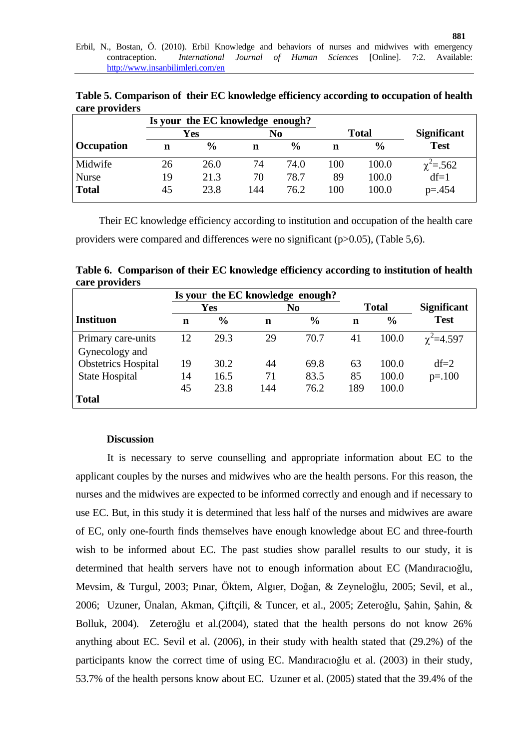**Table 5. Comparison of their EC knowledge efficiency according to occupation of health care providers** 

|                   |    | Is your the EC knowledge enough? |     |               |     |               |                    |
|-------------------|----|----------------------------------|-----|---------------|-----|---------------|--------------------|
|                   |    | Yes                              |     | No            |     | <b>Total</b>  | <b>Significant</b> |
| <b>Occupation</b> | n  | $\frac{6}{9}$                    | n   | $\frac{0}{0}$ | n   | $\frac{0}{0}$ | <b>Test</b>        |
| Midwife           | 26 | 26.0                             | 74  | 74.0          | 100 | 100.0         | $\chi^2 = 562$     |
| <b>Nurse</b>      | 19 | 21.3                             | 70  | 78.7          | 89  | 100.0         | $df=1$             |
| <b>Total</b>      | 45 | 23.8                             | 144 | 76.2          | 100 | 100.0         | $p = 0.454$        |

 Their EC knowledge efficiency according to institution and occupation of the health care providers were compared and differences were no significant (p>0.05), (Table 5,6).

**Table 6. Comparison of their EC knowledge efficiency according to institution of health care providers** 

|                            |    |               | Is your the EC knowledge enough? |                |     |               |                    |
|----------------------------|----|---------------|----------------------------------|----------------|-----|---------------|--------------------|
|                            |    | <b>Yes</b>    |                                  | N <sub>0</sub> |     | <b>Total</b>  | <b>Significant</b> |
| Instituon                  | n  | $\frac{6}{6}$ | n                                | $\frac{6}{6}$  | n   | $\frac{6}{6}$ | <b>Test</b>        |
| Primary care-units         | 12 | 29.3          | 29                               | 70.7           | 41  | 100.0         | $\chi^2$ = 4.597   |
| Gynecology and             |    |               |                                  |                |     |               |                    |
| <b>Obstetrics Hospital</b> | 19 | 30.2          | 44                               | 69.8           | 63  | 100.0         | $df=2$             |
| <b>State Hospital</b>      | 14 | 16.5          | 71                               | 83.5           | 85  | 100.0         | $p = 100$          |
|                            | 45 | 23.8          | 144                              | 76.2           | 189 | 100.0         |                    |
| <b>Total</b>               |    |               |                                  |                |     |               |                    |

## **Discussion**

It is necessary to serve counselling and appropriate information about EC to the applicant couples by the nurses and midwives who are the health persons. For this reason, the nurses and the midwives are expected to be informed correctly and enough and if necessary to use EC. But, in this study it is determined that less half of the nurses and midwives are aware of EC, only one-fourth finds themselves have enough knowledge about EC and three-fourth wish to be informed about EC. The past studies show parallel results to our study, it is determined that health servers have not to enough information about EC (Mandıracıoğlu, Mevsim, & Turgul, 2003; Pınar, Öktem, Algıer, Doğan, & Zeyneloğlu, 2005; Sevil, et al., 2006; Uzuner, Ünalan, Akman, Çiftçili, & Tuncer, et al., 2005; Zeteroğlu, Şahin, Şahin, & Bolluk, 2004). Zeteroğlu et al.(2004), stated that the health persons do not know 26% anything about EC. Sevil et al. (2006), in their study with health stated that (29.2%) of the participants know the correct time of using EC. Mandıracıoğlu et al. (2003) in their study, 53.7% of the health persons know about EC. Uzuner et al. (2005) stated that the 39.4% of the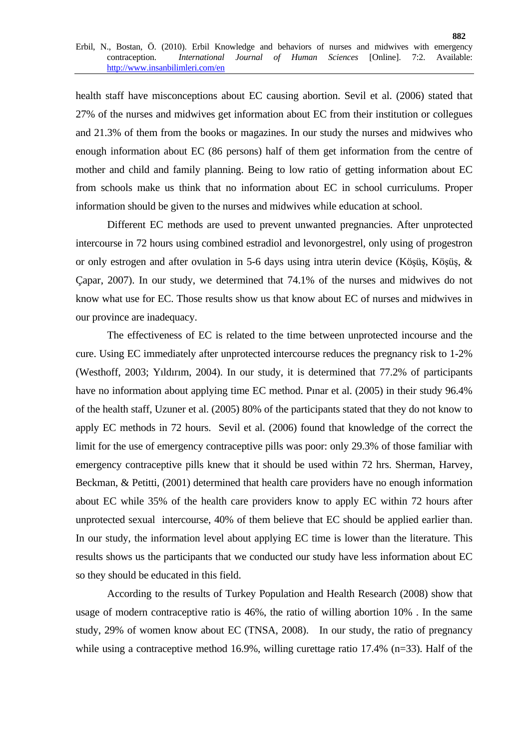health staff have misconceptions about EC causing abortion. Sevil et al. (2006) stated that 27% of the nurses and midwives get information about EC from their institution or collegues and 21.3% of them from the books or magazines. In our study the nurses and midwives who enough information about EC (86 persons) half of them get information from the centre of mother and child and family planning. Being to low ratio of getting information about EC from schools make us think that no information about EC in school curriculums. Proper information should be given to the nurses and midwives while education at school.

Different EC methods are used to prevent unwanted pregnancies. After unprotected intercourse in 72 hours using combined estradiol and levonorgestrel, only using of progestron or only estrogen and after ovulation in 5-6 days using intra uterin device (Köşüş, Köşüş, & Çapar, 2007). In our study, we determined that 74.1% of the nurses and midwives do not know what use for EC. Those results show us that know about EC of nurses and midwives in our province are inadequacy.

The effectiveness of EC is related to the time between unprotected incourse and the cure. Using EC immediately after unprotected intercourse reduces the pregnancy risk to 1-2% (Westhoff, 2003; Yıldırım, 2004). In our study, it is determined that 77.2% of participants have no information about applying time EC method. Pınar et al. (2005) in their study 96.4% of the health staff, Uzuner et al. (2005) 80% of the participants stated that they do not know to apply EC methods in 72 hours. Sevil et al. (2006) found that knowledge of the correct the limit for the use of emergency contraceptive pills was poor: only 29.3% of those familiar with emergency contraceptive pills knew that it should be used within 72 hrs. Sherman, Harvey, Beckman, & Petitti, (2001) determined that health care providers have no enough information about EC while 35% of the health care providers know to apply EC within 72 hours after unprotected sexual intercourse, 40% of them believe that EC should be applied earlier than. In our study, the information level about applying EC time is lower than the literature. This results shows us the participants that we conducted our study have less information about EC so they should be educated in this field.

According to the results of Turkey Population and Health Research (2008) show that usage of modern contraceptive ratio is 46%, the ratio of willing abortion 10% . In the same study, 29% of women know about EC (TNSA, 2008). In our study, the ratio of pregnancy while using a contraceptive method 16.9%, willing curettage ratio 17.4% (n=33). Half of the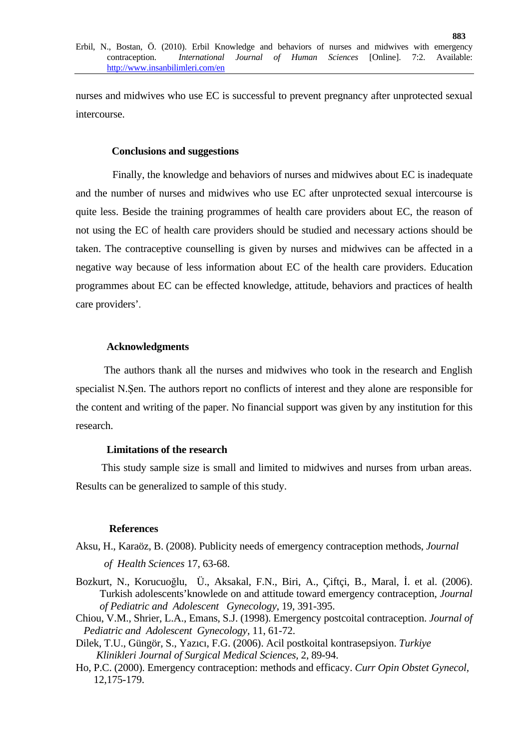nurses and midwives who use EC is successful to prevent pregnancy after unprotected sexual intercourse.

#### **Conclusions and suggestions**

 Finally, the knowledge and behaviors of nurses and midwives about EC is inadequate and the number of nurses and midwives who use EC after unprotected sexual intercourse is quite less. Beside the training programmes of health care providers about EC, the reason of not using the EC of health care providers should be studied and necessary actions should be taken. The contraceptive counselling is given by nurses and midwives can be affected in a negative way because of less information about EC of the health care providers. Education programmes about EC can be effected knowledge, attitude, behaviors and practices of health care providers'.

## **Acknowledgments**

The authors thank all the nurses and midwives who took in the research and English specialist N.Şen. The authors report no conflicts of interest and they alone are responsible for the content and writing of the paper. No financial support was given by any institution for this research.

#### **Limitations of the research**

 This study sample size is small and limited to midwives and nurses from urban areas. Results can be generalized to sample of this study.

#### **References**

Aksu, H., Karaöz, B. (2008). Publicity needs of emergency contraception methods, *Journal* 

 *of Health Sciences* 17, 63-68.

- Bozkurt, N., Korucuoğlu, Ü., Aksakal, F.N., Biri, A., Çiftçi, B., Maral, İ. et al. (2006). Turkish adolescents'knowlede on and attitude toward emergency contraception, *Journal of Pediatric and Adolescent Gynecology*, 19, 391-395.
- Chiou, V.M., Shrier, L.A., Emans, S.J. (1998). Emergency postcoital contraception. *Journal of Pediatric and Adolescent Gynecology,* 11, 61-72.
- Dilek, T.U., Güngör, S., Yazıcı, F.G. (2006). Acil postkoital kontrasepsiyon. *Turkiye Klinikleri Journal of Surgical Medical Sciences,* 2, 89-94.
- Ho, P.C. (2000). Emergency contraception: methods and efficacy. *Curr Opin Obstet Gynecol,* 12,175-179.